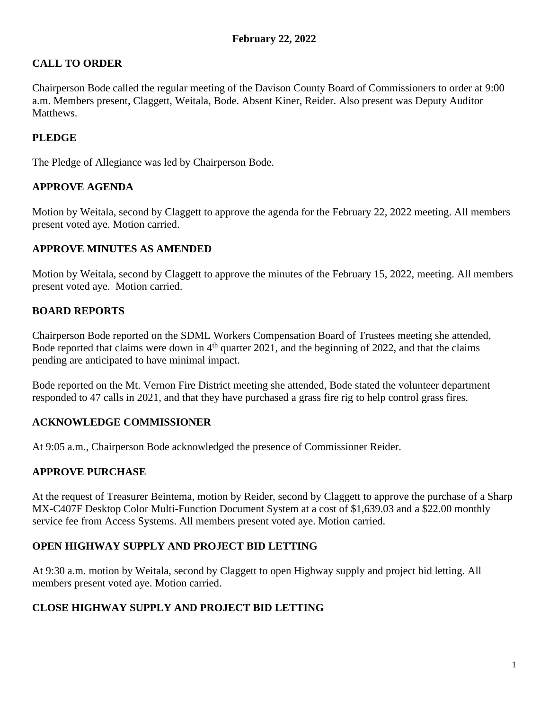# **CALL TO ORDER**

Chairperson Bode called the regular meeting of the Davison County Board of Commissioners to order at 9:00 a.m. Members present, Claggett, Weitala, Bode. Absent Kiner, Reider. Also present was Deputy Auditor Matthews.

# **PLEDGE**

The Pledge of Allegiance was led by Chairperson Bode.

## **APPROVE AGENDA**

Motion by Weitala, second by Claggett to approve the agenda for the February 22, 2022 meeting. All members present voted aye. Motion carried.

## **APPROVE MINUTES AS AMENDED**

Motion by Weitala, second by Claggett to approve the minutes of the February 15, 2022, meeting. All members present voted aye. Motion carried.

## **BOARD REPORTS**

Chairperson Bode reported on the SDML Workers Compensation Board of Trustees meeting she attended, Bode reported that claims were down in  $4<sup>th</sup>$  quarter 2021, and the beginning of 2022, and that the claims pending are anticipated to have minimal impact.

Bode reported on the Mt. Vernon Fire District meeting she attended, Bode stated the volunteer department responded to 47 calls in 2021, and that they have purchased a grass fire rig to help control grass fires.

# **ACKNOWLEDGE COMMISSIONER**

At 9:05 a.m., Chairperson Bode acknowledged the presence of Commissioner Reider.

### **APPROVE PURCHASE**

At the request of Treasurer Beintema, motion by Reider, second by Claggett to approve the purchase of a Sharp MX-C407F Desktop Color Multi-Function Document System at a cost of \$1,639.03 and a \$22.00 monthly service fee from Access Systems. All members present voted aye. Motion carried.

### **OPEN HIGHWAY SUPPLY AND PROJECT BID LETTING**

At 9:30 a.m. motion by Weitala, second by Claggett to open Highway supply and project bid letting. All members present voted aye. Motion carried.

### **CLOSE HIGHWAY SUPPLY AND PROJECT BID LETTING**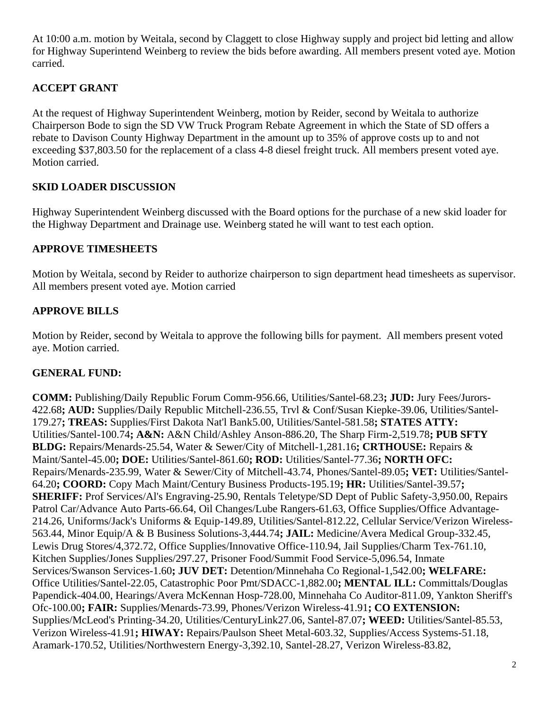At 10:00 a.m. motion by Weitala, second by Claggett to close Highway supply and project bid letting and allow for Highway Superintend Weinberg to review the bids before awarding. All members present voted aye. Motion carried.

# **ACCEPT GRANT**

At the request of Highway Superintendent Weinberg, motion by Reider, second by Weitala to authorize Chairperson Bode to sign the SD VW Truck Program Rebate Agreement in which the State of SD offers a rebate to Davison County Highway Department in the amount up to 35% of approve costs up to and not exceeding \$37,803.50 for the replacement of a class 4-8 diesel freight truck. All members present voted aye. Motion carried.

# **SKID LOADER DISCUSSION**

Highway Superintendent Weinberg discussed with the Board options for the purchase of a new skid loader for the Highway Department and Drainage use. Weinberg stated he will want to test each option.

# **APPROVE TIMESHEETS**

Motion by Weitala, second by Reider to authorize chairperson to sign department head timesheets as supervisor. All members present voted aye. Motion carried

# **APPROVE BILLS**

Motion by Reider, second by Weitala to approve the following bills for payment. All members present voted aye. Motion carried.

# **GENERAL FUND:**

**COMM:** Publishing/Daily Republic Forum Comm-956.66, Utilities/Santel-68.23**; JUD:** Jury Fees/Jurors-422.68**; AUD:** Supplies/Daily Republic Mitchell-236.55, Trvl & Conf/Susan Kiepke-39.06, Utilities/Santel-179.27**; TREAS:** Supplies/First Dakota Nat'l Bank5.00, Utilities/Santel-581.58**; STATES ATTY:** Utilities/Santel-100.74**; A&N:** A&N Child/Ashley Anson-886.20, The Sharp Firm-2,519.78**; PUB SFTY BLDG:** Repairs/Menards-25.54, Water & Sewer/City of Mitchell-1,281.16**; CRTHOUSE:** Repairs & Maint/Santel-45.00**; DOE:** Utilities/Santel-861.60**; ROD:** Utilities/Santel-77.36**; NORTH OFC:** Repairs/Menards-235.99, Water & Sewer/City of Mitchell-43.74, Phones/Santel-89.05**; VET:** Utilities/Santel-64.20**; COORD:** Copy Mach Maint/Century Business Products-195.19**; HR:** Utilities/Santel-39.57**; SHERIFF:** Prof Services/Al's Engraving-25.90, Rentals Teletype/SD Dept of Public Safety-3,950.00, Repairs Patrol Car/Advance Auto Parts-66.64, Oil Changes/Lube Rangers-61.63, Office Supplies/Office Advantage-214.26, Uniforms/Jack's Uniforms & Equip-149.89, Utilities/Santel-812.22, Cellular Service/Verizon Wireless-563.44, Minor Equip/A & B Business Solutions-3,444.74**; JAIL:** Medicine/Avera Medical Group-332.45, Lewis Drug Stores/4,372.72, Office Supplies/Innovative Office-110.94, Jail Supplies/Charm Tex-761.10, Kitchen Supplies/Jones Supplies/297.27, Prisoner Food/Summit Food Service-5,096.54, Inmate Services/Swanson Services-1.60**; JUV DET:** Detention/Minnehaha Co Regional-1,542.00**; WELFARE:** Office Utilities/Santel-22.05, Catastrophic Poor Pmt/SDACC-1,882.00**; MENTAL ILL:** Committals/Douglas Papendick-404.00, Hearings/Avera McKennan Hosp-728.00, Minnehaha Co Auditor-811.09, Yankton Sheriff's Ofc-100.00**; FAIR:** Supplies/Menards-73.99, Phones/Verizon Wireless-41.91**; CO EXTENSION:** Supplies/McLeod's Printing-34.20, Utilities/CenturyLink27.06, Santel-87.07**; WEED:** Utilities/Santel-85.53, Verizon Wireless-41.91**; HIWAY:** Repairs/Paulson Sheet Metal-603.32, Supplies/Access Systems-51.18, Aramark-170.52, Utilities/Northwestern Energy-3,392.10, Santel-28.27, Verizon Wireless-83.82,